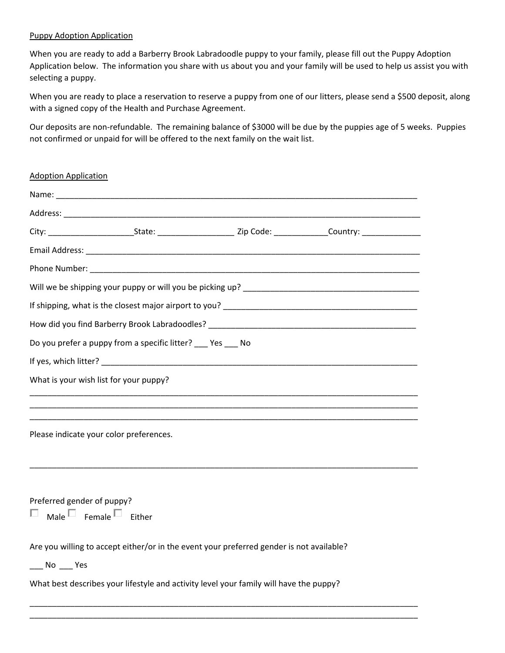## Puppy Adoption Application

When you are ready to add a Barberry Brook Labradoodle puppy to your family, please fill out the Puppy Adoption Application below. The information you share with us about you and your family will be used to help us assist you with selecting a puppy.

When you are ready to place a reservation to reserve a puppy from one of our litters, please send a \$500 deposit, along with a signed copy of the Health and Purchase Agreement.

Our deposits are non-refundable. The remaining balance of \$3000 will be due by the puppies age of 5 weeks. Puppies not confirmed or unpaid for will be offered to the next family on the wait list.

| <b>Adoption Application</b>                                                                                          |  |  |
|----------------------------------------------------------------------------------------------------------------------|--|--|
|                                                                                                                      |  |  |
|                                                                                                                      |  |  |
| City: ____________________________State: _________________________Zip Code: _________________Country: ______________ |  |  |
|                                                                                                                      |  |  |
|                                                                                                                      |  |  |
|                                                                                                                      |  |  |
|                                                                                                                      |  |  |
|                                                                                                                      |  |  |
| Do you prefer a puppy from a specific litter? Pes No                                                                 |  |  |
|                                                                                                                      |  |  |
| What is your wish list for your puppy?                                                                               |  |  |
|                                                                                                                      |  |  |
|                                                                                                                      |  |  |
| Please indicate your color preferences.                                                                              |  |  |
|                                                                                                                      |  |  |
|                                                                                                                      |  |  |
|                                                                                                                      |  |  |
| Preferred gender of puppy?<br>Male $\square$ Female $\square$ Either<br>L                                            |  |  |
|                                                                                                                      |  |  |
| Are you willing to accept either/or in the event your preferred gender is not available?                             |  |  |
| $\frac{1}{2}$ No $\frac{1}{2}$ Yes                                                                                   |  |  |
| What best describes your lifestyle and activity level your family will have the puppy?                               |  |  |
|                                                                                                                      |  |  |

\_\_\_\_\_\_\_\_\_\_\_\_\_\_\_\_\_\_\_\_\_\_\_\_\_\_\_\_\_\_\_\_\_\_\_\_\_\_\_\_\_\_\_\_\_\_\_\_\_\_\_\_\_\_\_\_\_\_\_\_\_\_\_\_\_\_\_\_\_\_\_\_\_\_\_\_\_\_\_\_\_\_\_\_\_\_